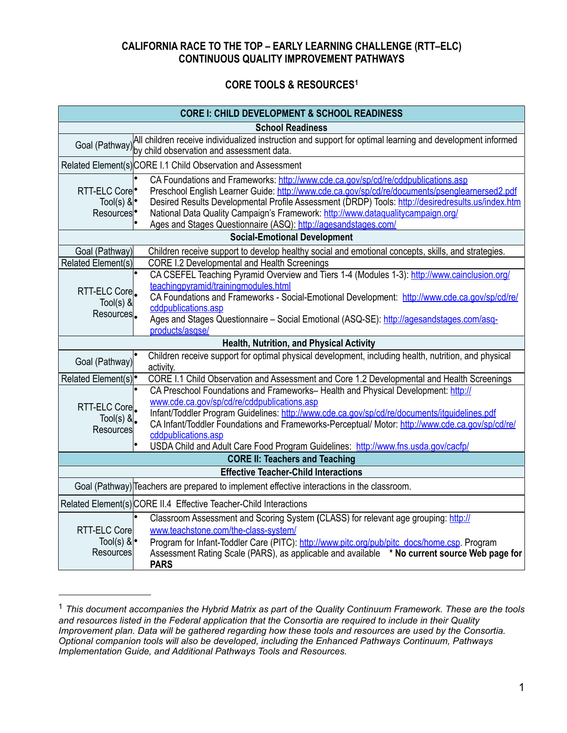## **CALIFORNIA RACE TO THE TOP – EARLY LEARNING CHALLENGE (RTT–ELC) CONTINUOUS QUALITY IMPROVEMENT PATHWAYS**

## **CORE TOOLS & RESOURCE[S1](#page-0-0)**

| <b>CORE I: CHILD DEVELOPMENT &amp; SCHOOL READINESS</b>                                    |                                                                                                                                                                                                                                                                                                                                                                                                                                                |  |
|--------------------------------------------------------------------------------------------|------------------------------------------------------------------------------------------------------------------------------------------------------------------------------------------------------------------------------------------------------------------------------------------------------------------------------------------------------------------------------------------------------------------------------------------------|--|
| <b>School Readiness</b>                                                                    |                                                                                                                                                                                                                                                                                                                                                                                                                                                |  |
|                                                                                            | All children receive individualized instruction and support for optimal learning and development informed<br>Goal (Pathway) by child observation and assessment data.                                                                                                                                                                                                                                                                          |  |
| Related Element(s) CORE I.1 Child Observation and Assessment                               |                                                                                                                                                                                                                                                                                                                                                                                                                                                |  |
| RTT-ELC Core<br>Tool(s) $\&\bullet$<br>Resources <sup>•</sup>                              | CA Foundations and Frameworks: http://www.cde.ca.gov/sp/cd/re/cddpublications.asp<br>Preschool English Learner Guide: http://www.cde.ca.gov/sp/cd/re/documents/psenglearnersed2.pdf<br>Desired Results Developmental Profile Assessment (DRDP) Tools: http://desiredresults.us/index.htm<br>National Data Quality Campaign's Framework: http://www.dataqualitycampaign.org/<br>Ages and Stages Questionnaire (ASQ): http://agesandstages.com/  |  |
| <b>Social-Emotional Development</b>                                                        |                                                                                                                                                                                                                                                                                                                                                                                                                                                |  |
| Goal (Pathway)                                                                             | Children receive support to develop healthy social and emotional concepts, skills, and strategies.                                                                                                                                                                                                                                                                                                                                             |  |
| Related Element(s)                                                                         | <b>CORE I.2 Developmental and Health Screenings</b>                                                                                                                                                                                                                                                                                                                                                                                            |  |
| RTT-ELC Core<br>$Tool(s)$ &<br>Resources.                                                  | CA CSEFEL Teaching Pyramid Overview and Tiers 1-4 (Modules 1-3): http://www.cainclusion.org/<br>teachingpyramid/trainingmodules.html<br>CA Foundations and Frameworks - Social-Emotional Development: http://www.cde.ca.gov/sp/cd/re/<br>cddpublications.asp                                                                                                                                                                                   |  |
|                                                                                            | Ages and Stages Questionnaire - Social Emotional (ASQ-SE): http://agesandstages.com/asq-<br>products/asgse/                                                                                                                                                                                                                                                                                                                                    |  |
|                                                                                            | Health, Nutrition, and Physical Activity                                                                                                                                                                                                                                                                                                                                                                                                       |  |
| Goal (Pathway)                                                                             | Children receive support for optimal physical development, including health, nutrition, and physical<br>activity.                                                                                                                                                                                                                                                                                                                              |  |
| Related Element(s) <sup>•</sup>                                                            | CORE I.1 Child Observation and Assessment and Core 1.2 Developmental and Health Screenings                                                                                                                                                                                                                                                                                                                                                     |  |
| RTT-ELC Core<br>Tool(s) $\&$<br>Resources                                                  | CA Preschool Foundations and Frameworks-Health and Physical Development: http://<br>www.cde.ca.gov/sp/cd/re/cddpublications.asp<br>Infant/Toddler Program Guidelines: http://www.cde.ca.gov/sp/cd/re/documents/itquidelines.pdf<br>CA Infant/Toddler Foundations and Frameworks-Perceptual/ Motor: http://www.cde.ca.gov/sp/cd/re/<br>cddpublications.asp<br>USDA Child and Adult Care Food Program Guidelines: http://www.fns.usda.gov/cacfp/ |  |
| <b>CORE II: Teachers and Teaching</b>                                                      |                                                                                                                                                                                                                                                                                                                                                                                                                                                |  |
| <b>Effective Teacher-Child Interactions</b>                                                |                                                                                                                                                                                                                                                                                                                                                                                                                                                |  |
| Goal (Pathway) Teachers are prepared to implement effective interactions in the classroom. |                                                                                                                                                                                                                                                                                                                                                                                                                                                |  |
| Related Element(s) CORE II.4 Effective Teacher-Child Interactions                          |                                                                                                                                                                                                                                                                                                                                                                                                                                                |  |
| <b>RTT-ELC Corel</b><br>Tool(s) $\&\cdot$<br><b>Resources</b>                              | Classroom Assessment and Scoring System (CLASS) for relevant age grouping: http://<br>www.teachstone.com/the-class-system/<br>Program for Infant-Toddler Care (PITC): http://www.pitc.org/pub/pitc_docs/home.csp. Program<br>Assessment Rating Scale (PARS), as applicable and available * No current source Web page for<br><b>PARS</b>                                                                                                       |  |

<span id="page-0-0"></span><sup>1</sup> *This document accompanies the Hybrid Matrix as part of the Quality Continuum Framework. These are the tools and resources listed in the Federal application that the Consortia are required to include in their Quality Improvement plan. Data will be gathered regarding how these tools and resources are used by the Consortia. Optional companion tools will also be developed, including the Enhanced Pathways Continuum, Pathways Implementation Guide, and Additional Pathways Tools and Resources.*